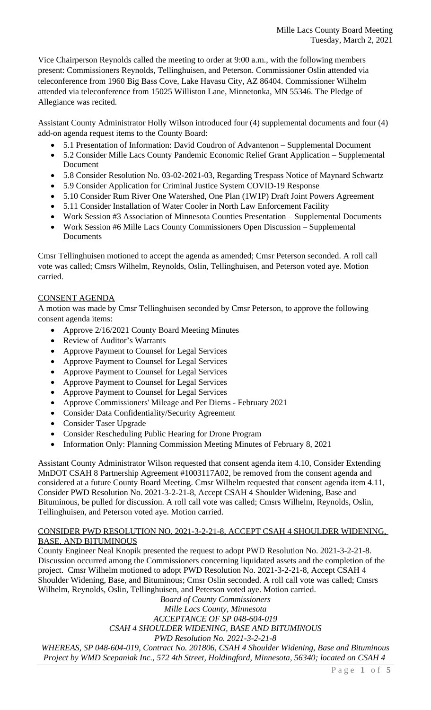Vice Chairperson Reynolds called the meeting to order at 9:00 a.m., with the following members present: Commissioners Reynolds, Tellinghuisen, and Peterson. Commissioner Oslin attended via teleconference from 1960 Big Bass Cove, Lake Havasu City, AZ 86404. Commissioner Wilhelm attended via teleconference from 15025 Williston Lane, Minnetonka, MN 55346. The Pledge of Allegiance was recited.

Assistant County Administrator Holly Wilson introduced four (4) supplemental documents and four (4) add-on agenda request items to the County Board:

- 5.1 Presentation of Information: David Coudron of Advantenon Supplemental Document
- 5.2 Consider Mille Lacs County Pandemic Economic Relief Grant Application Supplemental Document
- 5.8 Consider Resolution No. 03-02-2021-03, Regarding Trespass Notice of Maynard Schwartz
- 5.9 Consider Application for Criminal Justice System COVID-19 Response
- 5.10 Consider Rum River One Watershed, One Plan (1W1P) Draft Joint Powers Agreement
- 5.11 Consider Installation of Water Cooler in North Law Enforcement Facility
- Work Session #3 Association of Minnesota Counties Presentation Supplemental Documents
- Work Session #6 Mille Lacs County Commissioners Open Discussion Supplemental Documents

Cmsr Tellinghuisen motioned to accept the agenda as amended; Cmsr Peterson seconded. A roll call vote was called; Cmsrs Wilhelm, Reynolds, Oslin, Tellinghuisen, and Peterson voted aye. Motion carried.

# CONSENT AGENDA

A motion was made by Cmsr Tellinghuisen seconded by Cmsr Peterson, to approve the following consent agenda items:

- Approve 2/16/2021 County Board Meeting Minutes
- Review of Auditor's Warrants
- Approve Payment to Counsel for Legal Services
- Approve Payment to Counsel for Legal Services
- Approve Payment to Counsel for Legal Services
- Approve Payment to Counsel for Legal Services
- Approve Payment to Counsel for Legal Services
- Approve Commissioners' Mileage and Per Diems February 2021
- Consider Data Confidentiality/Security Agreement
- Consider Taser Upgrade
- Consider Rescheduling Public Hearing for Drone Program
- Information Only: Planning Commission Meeting Minutes of February 8, 2021

Assistant County Administrator Wilson requested that consent agenda item 4.10, Consider Extending MnDOT CSAH 8 Partnership Agreement #1003117A02, be removed from the consent agenda and considered at a future County Board Meeting. Cmsr Wilhelm requested that consent agenda item 4.11, Consider PWD Resolution No. 2021-3-2-21-8, Accept CSAH 4 Shoulder Widening, Base and Bituminous, be pulled for discussion. A roll call vote was called; Cmsrs Wilhelm, Reynolds, Oslin, Tellinghuisen, and Peterson voted aye. Motion carried.

### CONSIDER PWD RESOLUTION NO. 2021-3-2-21-8, ACCEPT CSAH 4 SHOULDER WIDENING, BASE, AND BITUMINOUS

County Engineer Neal Knopik presented the request to adopt PWD Resolution No. 2021-3-2-21-8. Discussion occurred among the Commissioners concerning liquidated assets and the completion of the project. Cmsr Wilhelm motioned to adopt PWD Resolution No. 2021-3-2-21-8, Accept CSAH 4 Shoulder Widening, Base, and Bituminous; Cmsr Oslin seconded. A roll call vote was called; Cmsrs Wilhelm, Reynolds, Oslin, Tellinghuisen, and Peterson voted aye. Motion carried.

*Board of County Commissioners*

*Mille Lacs County, Minnesota*

*ACCEPTANCE OF SP 048-604-019*

*CSAH 4 SHOULDER WIDENING, BASE AND BITUMINOUS*

*PWD Resolution No. 2021-3-2-21-8*

*WHEREAS, SP 048-604-019, Contract No. 201806, CSAH 4 Shoulder Widening, Base and Bituminous Project by WMD Scepaniak Inc., 572 4th Street, Holdingford, Minnesota, 56340; located on CSAH 4*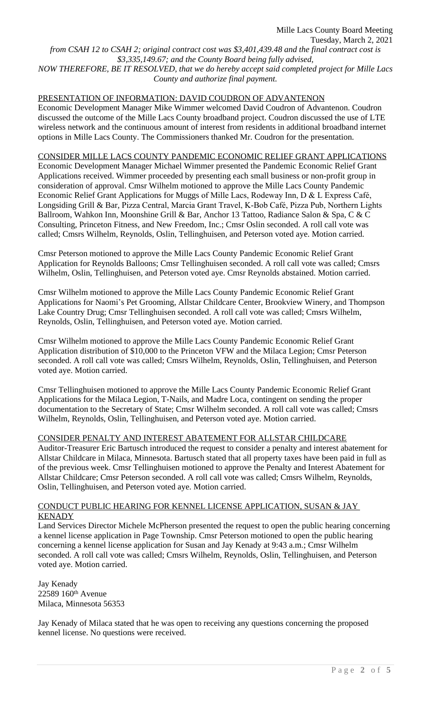Mille Lacs County Board Meeting Tuesday, March 2, 2021 *from CSAH 12 to CSAH 2; original contract cost was \$3,401,439.48 and the final contract cost is \$3,335,149.67; and the County Board being fully advised, NOW THEREFORE, BE IT RESOLVED, that we do hereby accept said completed project for Mille Lacs County and authorize final payment.*

#### PRESENTATION OF INFORMATION: DAVID COUDRON OF ADVANTENON

Economic Development Manager Mike Wimmer welcomed David Coudron of Advantenon. Coudron discussed the outcome of the Mille Lacs County broadband project. Coudron discussed the use of LTE wireless network and the continuous amount of interest from residents in additional broadband internet options in Mille Lacs County. The Commissioners thanked Mr. Coudron for the presentation.

#### CONSIDER MILLE LACS COUNTY PANDEMIC ECONOMIC RELIEF GRANT APPLICATIONS

Economic Development Manager Michael Wimmer presented the Pandemic Economic Relief Grant Applications received. Wimmer proceeded by presenting each small business or non-profit group in consideration of approval. Cmsr Wilhelm motioned to approve the Mille Lacs County Pandemic Economic Relief Grant Applications for Muggs of Mille Lacs, Rodeway Inn, D & L Express Café, Longsiding Grill & Bar, Pizza Central, Marcia Grant Travel, K-Bob Café, Pizza Pub, Northern Lights Ballroom, Wahkon Inn, Moonshine Grill & Bar, Anchor 13 Tattoo, Radiance Salon & Spa, C & C Consulting, Princeton Fitness, and New Freedom, Inc.; Cmsr Oslin seconded. A roll call vote was called; Cmsrs Wilhelm, Reynolds, Oslin, Tellinghuisen, and Peterson voted aye. Motion carried.

Cmsr Peterson motioned to approve the Mille Lacs County Pandemic Economic Relief Grant Application for Reynolds Balloons; Cmsr Tellinghuisen seconded. A roll call vote was called; Cmsrs Wilhelm, Oslin, Tellinghuisen, and Peterson voted aye. Cmsr Reynolds abstained. Motion carried.

Cmsr Wilhelm motioned to approve the Mille Lacs County Pandemic Economic Relief Grant Applications for Naomi's Pet Grooming, Allstar Childcare Center, Brookview Winery, and Thompson Lake Country Drug; Cmsr Tellinghuisen seconded. A roll call vote was called; Cmsrs Wilhelm, Reynolds, Oslin, Tellinghuisen, and Peterson voted aye. Motion carried.

Cmsr Wilhelm motioned to approve the Mille Lacs County Pandemic Economic Relief Grant Application distribution of \$10,000 to the Princeton VFW and the Milaca Legion; Cmsr Peterson seconded. A roll call vote was called; Cmsrs Wilhelm, Reynolds, Oslin, Tellinghuisen, and Peterson voted aye. Motion carried.

Cmsr Tellinghuisen motioned to approve the Mille Lacs County Pandemic Economic Relief Grant Applications for the Milaca Legion, T-Nails, and Madre Loca, contingent on sending the proper documentation to the Secretary of State; Cmsr Wilhelm seconded. A roll call vote was called; Cmsrs Wilhelm, Reynolds, Oslin, Tellinghuisen, and Peterson voted aye. Motion carried.

CONSIDER PENALTY AND INTEREST ABATEMENT FOR ALLSTAR CHILDCARE

Auditor-Treasurer Eric Bartusch introduced the request to consider a penalty and interest abatement for Allstar Childcare in Milaca, Minnesota. Bartusch stated that all property taxes have been paid in full as of the previous week. Cmsr Tellinghuisen motioned to approve the Penalty and Interest Abatement for Allstar Childcare; Cmsr Peterson seconded. A roll call vote was called; Cmsrs Wilhelm, Reynolds, Oslin, Tellinghuisen, and Peterson voted aye. Motion carried.

## CONDUCT PUBLIC HEARING FOR KENNEL LICENSE APPLICATION, SUSAN & JAY **KENADY**

Land Services Director Michele McPherson presented the request to open the public hearing concerning a kennel license application in Page Township. Cmsr Peterson motioned to open the public hearing concerning a kennel license application for Susan and Jay Kenady at 9:43 a.m.; Cmsr Wilhelm seconded. A roll call vote was called; Cmsrs Wilhelm, Reynolds, Oslin, Tellinghuisen, and Peterson voted aye. Motion carried.

Jay Kenady 22589 160th Avenue Milaca, Minnesota 56353

Jay Kenady of Milaca stated that he was open to receiving any questions concerning the proposed kennel license. No questions were received.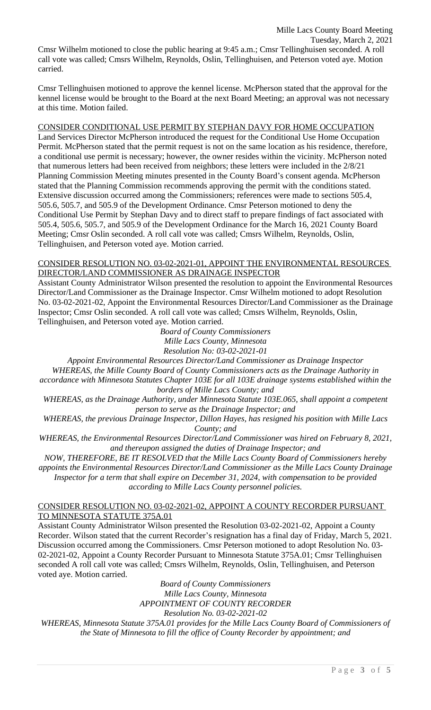Tuesday, March 2, 2021

Cmsr Wilhelm motioned to close the public hearing at 9:45 a.m.; Cmsr Tellinghuisen seconded. A roll call vote was called; Cmsrs Wilhelm, Reynolds, Oslin, Tellinghuisen, and Peterson voted aye. Motion carried.

Cmsr Tellinghuisen motioned to approve the kennel license. McPherson stated that the approval for the kennel license would be brought to the Board at the next Board Meeting; an approval was not necessary at this time. Motion failed.

## CONSIDER CONDITIONAL USE PERMIT BY STEPHAN DAVY FOR HOME OCCUPATION

Land Services Director McPherson introduced the request for the Conditional Use Home Occupation Permit. McPherson stated that the permit request is not on the same location as his residence, therefore, a conditional use permit is necessary; however, the owner resides within the vicinity. McPherson noted that numerous letters had been received from neighbors; these letters were included in the 2/8/21 Planning Commission Meeting minutes presented in the County Board's consent agenda. McPherson stated that the Planning Commission recommends approving the permit with the conditions stated. Extensive discussion occurred among the Commissioners; references were made to sections 505.4, 505.6, 505.7, and 505.9 of the Development Ordinance. Cmsr Peterson motioned to deny the Conditional Use Permit by Stephan Davy and to direct staff to prepare findings of fact associated with 505.4, 505.6, 505.7, and 505.9 of the Development Ordinance for the March 16, 2021 County Board Meeting; Cmsr Oslin seconded. A roll call vote was called; Cmsrs Wilhelm, Reynolds, Oslin, Tellinghuisen, and Peterson voted aye. Motion carried.

#### CONSIDER RESOLUTION NO. 03-02-2021-01, APPOINT THE ENVIRONMENTAL RESOURCES DIRECTOR/LAND COMMISSIONER AS DRAINAGE INSPECTOR

Assistant County Administrator Wilson presented the resolution to appoint the Environmental Resources Director/Land Commissioner as the Drainage Inspector. Cmsr Wilhelm motioned to adopt Resolution No. 03-02-2021-02, Appoint the Environmental Resources Director/Land Commissioner as the Drainage Inspector; Cmsr Oslin seconded. A roll call vote was called; Cmsrs Wilhelm, Reynolds, Oslin, Tellinghuisen, and Peterson voted aye. Motion carried.

> *Board of County Commissioners Mille Lacs County, Minnesota Resolution No: 03-02-2021-01*

*Appoint Environmental Resources Director/Land Commissioner as Drainage Inspector WHEREAS, the Mille County Board of County Commissioners acts as the Drainage Authority in accordance with Minnesota Statutes Chapter 103E for all 103E drainage systems established within the borders of Mille Lacs County; and*

*WHEREAS, as the Drainage Authority, under Minnesota Statute 103E.065, shall appoint a competent person to serve as the Drainage Inspector; and*

*WHEREAS, the previous Drainage Inspector, Dillon Hayes, has resigned his position with Mille Lacs County; and*

*WHEREAS, the Environmental Resources Director/Land Commissioner was hired on February 8, 2021, and thereupon assigned the duties of Drainage Inspector; and*

*NOW, THEREFORE, BE IT RESOLVED that the Mille Lacs County Board of Commissioners hereby appoints the Environmental Resources Director/Land Commissioner as the Mille Lacs County Drainage Inspector for a term that shall expire on December 31, 2024, with compensation to be provided according to Mille Lacs County personnel policies.*

### CONSIDER RESOLUTION NO. 03-02-2021-02, APPOINT A COUNTY RECORDER PURSUANT TO MINNESOTA STATUTE 375A.01

Assistant County Administrator Wilson presented the Resolution 03-02-2021-02, Appoint a County Recorder. Wilson stated that the current Recorder's resignation has a final day of Friday, March 5, 2021. Discussion occurred among the Commissioners. Cmsr Peterson motioned to adopt Resolution No. 03- 02-2021-02, Appoint a County Recorder Pursuant to Minnesota Statute 375A.01; Cmsr Tellinghuisen seconded A roll call vote was called; Cmsrs Wilhelm, Reynolds, Oslin, Tellinghuisen, and Peterson voted aye. Motion carried.

*Board of County Commissioners Mille Lacs County, Minnesota APPOINTMENT OF COUNTY RECORDER Resolution No. 03-02-2021-02 WHEREAS, Minnesota Statute 375A.01 provides for the Mille Lacs County Board of Commissioners of the State of Minnesota to fill the office of County Recorder by appointment; and*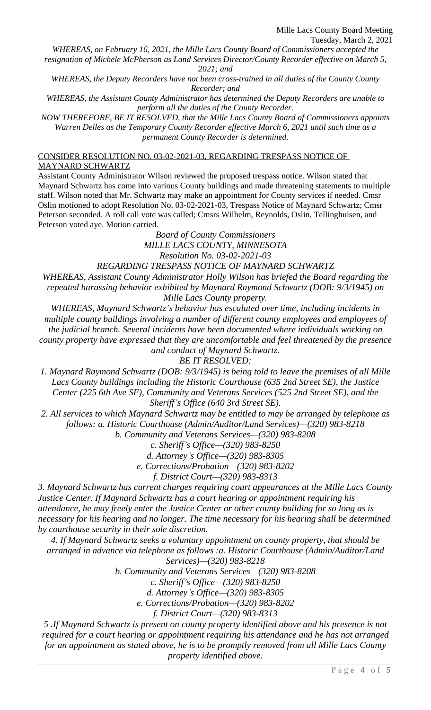*WHEREAS, on February 16, 2021, the Mille Lacs County Board of Commissioners accepted the*

*resignation of Michele McPherson as Land Services Director/County Recorder effective on March 5, 2021; and*

*WHEREAS, the Deputy Recorders have not been cross-trained in all duties of the County County Recorder; and*

*WHEREAS, the Assistant County Administrator has determined the Deputy Recorders are unable to perform all the duties of the County Recorder.*

*NOW THEREFORE, BE IT RESOLVED, that the Mille Lacs County Board of Commissioners appoints Warren Delles as the Temporary County Recorder effective March 6, 2021 until such time as a permanent County Recorder is determined.*

CONSIDER RESOLUTION NO. 03-02-2021-03, REGARDING TRESPASS NOTICE OF MAYNARD SCHWARTZ

Assistant County Administrator Wilson reviewed the proposed trespass notice. Wilson stated that Maynard Schwartz has come into various County buildings and made threatening statements to multiple staff. Wilson noted that Mr. Schwartz may make an appointment for County services if needed. Cmsr Oslin motioned to adopt Resolution No. 03-02-2021-03, Trespass Notice of Maynard Schwartz; Cmsr Peterson seconded. A roll call vote was called; Cmsrs Wilhelm, Reynolds, Oslin, Tellinghuisen, and Peterson voted aye. Motion carried.

> *Board of County Commissioners MILLE LACS COUNTY, MINNESOTA Resolution No. 03-02-2021-03*

*REGARDING TRESPASS NOTICE OF MAYNARD SCHWARTZ*

*WHEREAS, Assistant County Administrator Holly Wilson has briefed the Board regarding the repeated harassing behavior exhibited by Maynard Raymond Schwartz (DOB: 9/3/1945) on Mille Lacs County property.*

*WHEREAS, Maynard Schwartz's behavior has escalated over time, including incidents in multiple county buildings involving a number of different county employees and employees of the judicial branch. Several incidents have been documented where individuals working on county property have expressed that they are uncomfortable and feel threatened by the presence and conduct of Maynard Schwartz.*

*BE IT RESOLVED:*

*1. Maynard Raymond Schwartz (DOB: 9/3/1945) is being told to leave the premises of all Mille Lacs County buildings including the Historic Courthouse (635 2nd Street SE), the Justice Center (225 6th Ave SE), Community and Veterans Services (525 2nd Street SE), and the Sheriff's Office (640 3rd Street SE).*

*2. All services to which Maynard Schwartz may be entitled to may be arranged by telephone as follows: a. Historic Courthouse (Admin/Auditor/Land Services)—(320) 983-8218*

*b. Community and Veterans Services—(320) 983-8208*

*c. Sheriff's Office—(320) 983-8250*

*d. Attorney's Office—(320) 983-8305*

*e. Corrections/Probation—(320) 983-8202*

*f. District Court—(320) 983-8313*

*3. Maynard Schwartz has current charges requiring court appearances at the Mille Lacs County Justice Center. If Maynard Schwartz has a court hearing or appointment requiring his attendance, he may freely enter the Justice Center or other county building for so long as is necessary for his hearing and no longer. The time necessary for his hearing shall be determined by courthouse security in their sole discretion.*

*4. If Maynard Schwartz seeks a voluntary appointment on county property, that should be arranged in advance via telephone as follows :a. Historic Courthouse (Admin/Auditor/Land Services)—(320) 983-8218*

*b. Community and Veterans Services—(320) 983-8208*

*c. Sheriff's Office—(320) 983-8250*

*d. Attorney's Office—(320) 983-8305*

*e. Corrections/Probation—(320) 983-8202*

*f. District Court—(320) 983-8313*

*5 .If Maynard Schwartz is present on county property identified above and his presence is not required for a court hearing or appointment requiring his attendance and he has not arranged for an appointment as stated above, he is to be promptly removed from all Mille Lacs County property identified above.*